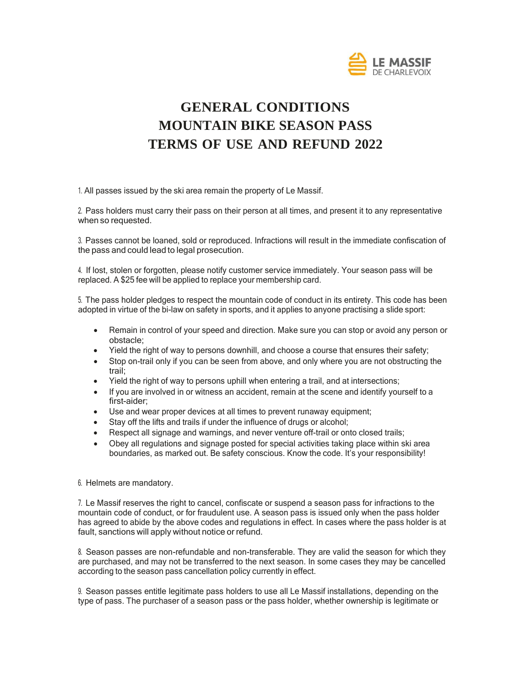

# **GENERAL CONDITIONS MOUNTAIN BIKE SEASON PASS TERMS OF USE AND REFUND 2022**

1. All passes issued by the ski area remain the property of Le Massif.

2. Pass holders must carry their pass on their person at all times, and present it to any representative when so requested.

3. Passes cannot be loaned, sold or reproduced. Infractions will result in the immediate confiscation of the pass and could lead to legal prosecution.

4. If lost, stolen or forgotten, please notify customer service immediately. Your season pass will be replaced. A \$25 fee will be applied to replace your membership card.

5. The pass holder pledges to respect the mountain code of conduct in its entirety. This code has been adopted in virtue of the bi-law on safety in sports, and it applies to anyone practising a slide sport:

- Remain in control of your speed and direction. Make sure you can stop or avoid any person or obstacle;
- Yield the right of way to persons downhill, and choose a course that ensures their safety;
- Stop on-trail only if you can be seen from above, and only where you are not obstructing the trail;
- Yield the right of way to persons uphill when entering a trail, and at intersections;
- If you are involved in or witness an accident, remain at the scene and identify yourself to a first-aider;
- Use and wear proper devices at all times to prevent runaway equipment;
- Stay off the lifts and trails if under the influence of drugs or alcohol;
- Respect all signage and warnings, and never venture off-trail or onto closed trails;
- Obey all regulations and signage posted for special activities taking place within ski area boundaries, as marked out. Be safety conscious. Know the code. It's your responsibility!

#### 6. Helmets are mandatory.

7. Le Massif reserves the right to cancel, confiscate or suspend a season pass for infractions to the mountain code of conduct, or for fraudulent use. A season pass is issued only when the pass holder has agreed to abide by the above codes and regulations in effect. In cases where the pass holder is at fault, sanctions will apply without notice or refund.

8. Season passes are non-refundable and non-transferable. They are valid the season for which they are purchased, and may not be transferred to the next season. In some cases they may be cancelled according to the season pass cancellation policy currently in effect.

9. Season passes entitle legitimate pass holders to use all Le Massif installations, depending on the type of pass. The purchaser of a season pass or the pass holder, whether ownership is legitimate or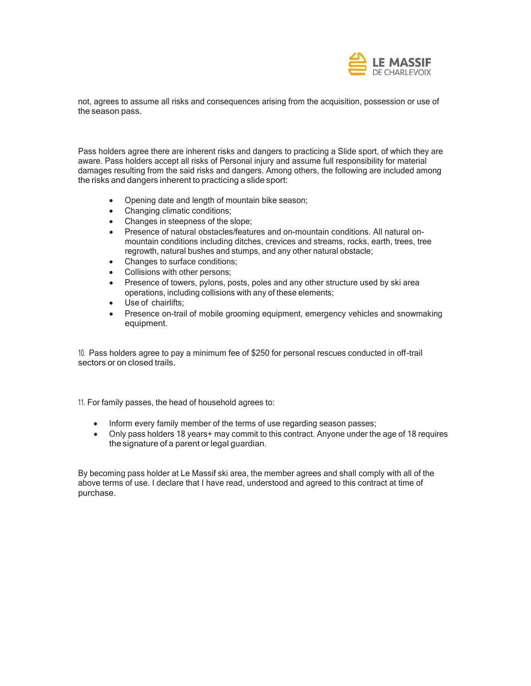

not, agrees to assume all risks and consequences arising from the acquisition, possession or use of the season pass.

Pass holders agree there are inherent risks and dangers to practicing a Slide sport, of which they are aware. Pass holders accept all risks of Personal injury and assume full responsibility for material damages resulting from the said risks and dangers. Among others, the following are included among the risks and dangers inherent to practicing a slide sport:

- Opening date and length of mountain bike season;
- Changing climatic conditions:
- Changes in steepness of the slope;
- Presence of natural obstacles/features and on-mountain conditions. All natural onmountain conditions including ditches, crevices and streams, rocks, earth, trees, tree regrowth, natural bushes and stumps, and any other natural obstacle;
- Changes to surface conditions;
- Collisions with other persons;
- Presence of towers, pylons, posts, poles and any other structure used by ski area operations, including collisions with any of these elements;
- Use of chairlifts;
- Presence on-trail of mobile grooming equipment, emergency vehicles and snowmaking equipment.

10. Pass holders agree to pay a minimum fee of \$250 for personal rescues conducted in off-trail sectors or on closed trails.

11. For family passes, the head of household agrees to:

- Inform every family member of the terms of use regarding season passes;
- Only pass holders 18 years+ may commit to this contract. Anyone under the age of 18 requires the signature of a parent or legal guardian.

By becoming pass holder at Le Massif ski area, the member agrees and shall comply with all of the above terms of use. I declare that I have read, understood and agreed to this contract at time of purchase.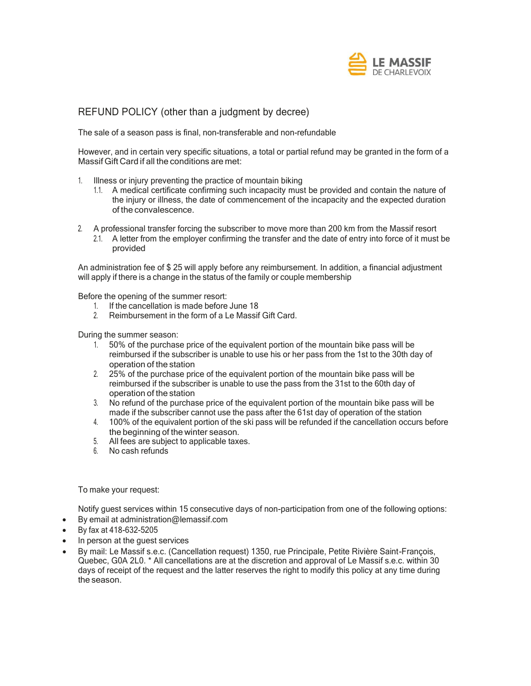

# REFUND POLICY (other than a judgment by decree)

The sale of a season pass is final, non-transferable and non-refundable

However, and in certain very specific situations, a total or partial refund may be granted in the form of a Massif Gift Card if all the conditions are met:

- 1. Illness or injury preventing the practice of mountain biking
	- 1.1. A medical certificate confirming such incapacity must be provided and contain the nature of the injury or illness, the date of commencement of the incapacity and the expected duration of the convalescence.
- 2. A professional transfer forcing the subscriber to move more than 200 km from the Massif resort
	- 2.1. A letter from the employer confirming the transfer and the date of entry into force of it must be provided

An administration fee of \$ 25 will apply before any reimbursement. In addition, a financial adjustment will apply if there is a change in the status of the family or couple membership

Before the opening of the summer resort:

- 1. If the cancellation is made before June 18
- 2. Reimbursement in the form of a Le Massif Gift Card.

During the summer season:

- 1. 50% of the purchase price of the equivalent portion of the mountain bike pass will be reimbursed if the subscriber is unable to use his or her pass from the 1st to the 30th day of operation of the station
- 2. 25% of the purchase price of the equivalent portion of the mountain bike pass will be reimbursed if the subscriber is unable to use the pass from the 31st to the 60th day of operation of the station
- 3. No refund of the purchase price of the equivalent portion of the mountain bike pass will be made if the subscriber cannot use the pass after the 61st day of operation of the station
- 4. 100% of the equivalent portion of the ski pass will be refunded if the cancellation occurs before the beginning of the winter season.
- 5. All fees are subject to applicable taxes.
- 6. No cash refunds

To make your request:

Notify guest services within 15 consecutive days of non-participation from one of the following options:

- By email at [administration@lemassif.com](mailto:administration@lemassif.com)
- By fax at 418-632-5205
- In person at the guest services
- By mail: Le Massif s.e.c. (Cancellation request) 1350, rue Principale, Petite Rivière Saint-François, Quebec, G0A 2L0. \* All cancellations are at the discretion and approval of Le Massif s.e.c. within 30 days of receipt of the request and the latter reserves the right to modify this policy at any time during the season.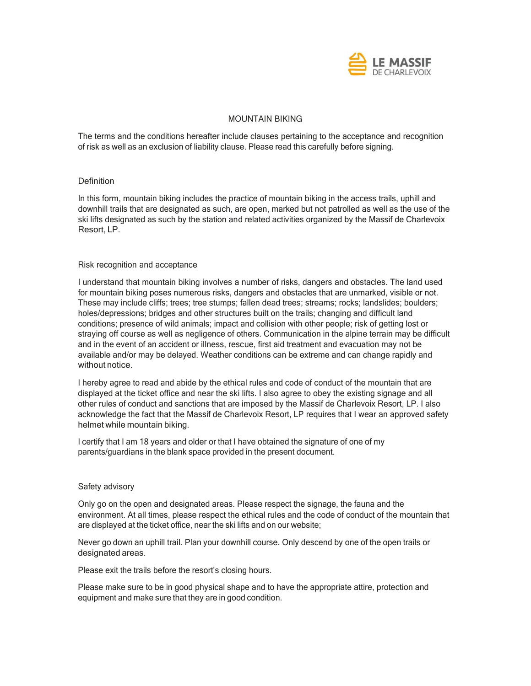

# MOUNTAIN BIKING

The terms and the conditions hereafter include clauses pertaining to the acceptance and recognition of risk as well as an exclusion of liability clause. Please read this carefully before signing.

# **Definition**

In this form, mountain biking includes the practice of mountain biking in the access trails, uphill and downhill trails that are designated as such, are open, marked but not patrolled as well as the use of the ski lifts designated as such by the station and related activities organized by the Massif de Charlevoix Resort, LP.

# Risk recognition and acceptance

I understand that mountain biking involves a number of risks, dangers and obstacles. The land used for mountain biking poses numerous risks, dangers and obstacles that are unmarked, visible or not. These may include cliffs; trees; tree stumps; fallen dead trees; streams; rocks; landslides; boulders; holes/depressions; bridges and other structures built on the trails; changing and difficult land conditions; presence of wild animals; impact and collision with other people; risk of getting lost or straying off course as well as negligence of others. Communication in the alpine terrain may be difficult and in the event of an accident or illness, rescue, first aid treatment and evacuation may not be available and/or may be delayed. Weather conditions can be extreme and can change rapidly and without notice.

I hereby agree to read and abide by the ethical rules and code of conduct of the mountain that are displayed at the ticket office and near the ski lifts. I also agree to obey the existing signage and all other rules of conduct and sanctions that are imposed by the Massif de Charlevoix Resort, LP. I also acknowledge the fact that the Massif de Charlevoix Resort, LP requires that I wear an approved safety helmet while mountain biking.

I certify that I am 18 years and older or that I have obtained the signature of one of my parents/guardians in the blank space provided in the present document.

#### Safety advisory

Only go on the open and designated areas. Please respect the signage, the fauna and the environment. At all times, please respect the ethical rules and the code of conduct of the mountain that are displayed at the ticket office, near the ski lifts and on our website;

Never go down an uphill trail. Plan your downhill course. Only descend by one of the open trails or designated areas.

Please exit the trails before the resort's closing hours.

Please make sure to be in good physical shape and to have the appropriate attire, protection and equipment and make sure that they are in good condition.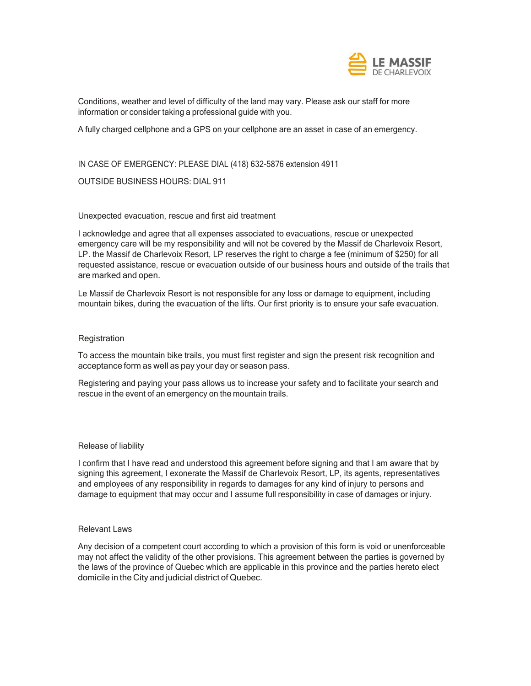

Conditions, weather and level of difficulty of the land may vary. Please ask our staff for more information or consider taking a professional guide with you.

A fully charged cellphone and a GPS on your cellphone are an asset in case of an emergency.

IN CASE OF EMERGENCY: PLEASE DIAL (418) 632-5876 extension 4911

# OUTSIDE BUSINESS HOURS: DIAL 911

# Unexpected evacuation, rescue and first aid treatment

I acknowledge and agree that all expenses associated to evacuations, rescue or unexpected emergency care will be my responsibility and will not be covered by the Massif de Charlevoix Resort, LP. the Massif de Charlevoix Resort, LP reserves the right to charge a fee (minimum of \$250) for all requested assistance, rescue or evacuation outside of our business hours and outside of the trails that are marked and open.

Le Massif de Charlevoix Resort is not responsible for any loss or damage to equipment, including mountain bikes, during the evacuation of the lifts. Our first priority is to ensure your safe evacuation.

# **Registration**

To access the mountain bike trails, you must first register and sign the present risk recognition and acceptance form as well as pay your day or season pass.

Registering and paying your pass allows us to increase your safety and to facilitate your search and rescue in the event of an emergency on the mountain trails.

#### Release of liability

I confirm that I have read and understood this agreement before signing and that I am aware that by signing this agreement, I exonerate the Massif de Charlevoix Resort, LP, its agents, representatives and employees of any responsibility in regards to damages for any kind of injury to persons and damage to equipment that may occur and I assume full responsibility in case of damages or injury.

# Relevant Laws

Any decision of a competent court according to which a provision of this form is void or unenforceable may not affect the validity of the other provisions. This agreement between the parties is governed by the laws of the province of Quebec which are applicable in this province and the parties hereto elect domicile in the City and judicial district of Quebec.